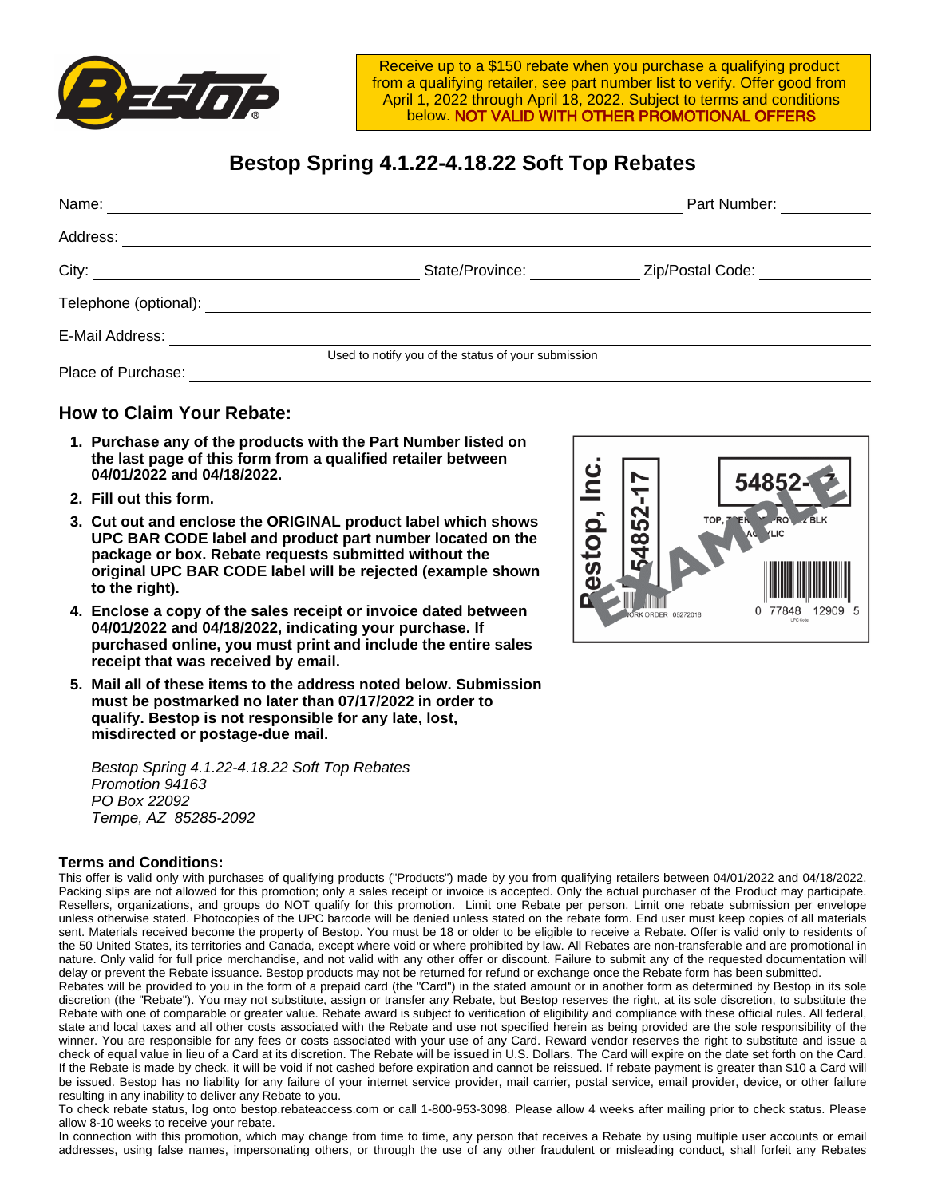

Receive up to a \$150 rebate when you purchase a qualifying product from a qualifying retailer, see part number list to verify. Offer good from April 1, 2022 through April 18, 2022. Subject to terms and conditions below. NOT VALID WITH OTHER PROMOTIONAL OFFERS

## **Bestop Spring 4.1.22-4.18.22 Soft Top Rebates**

| Name:                 |                                                     | Part Number:     |  |  |
|-----------------------|-----------------------------------------------------|------------------|--|--|
| Address:              |                                                     |                  |  |  |
| City:                 | State/Province:                                     | Zip/Postal Code: |  |  |
| Telephone (optional): |                                                     |                  |  |  |
| E-Mail Address:       |                                                     |                  |  |  |
|                       | Used to notify you of the status of your submission |                  |  |  |
| Place of Purchase:    |                                                     |                  |  |  |

## **How to Claim Your Rebate:**

- **1. Purchase any of the products with the Part Number listed on the last page of this form from a qualified retailer between 04/01/2022 and 04/18/2022.**
- **2. Fill out this form.**
- **3. Cut out and enclose the ORIGINAL product label which shows UPC BAR CODE label and product part number located on the package or box. Rebate requests submitted without the original UPC BAR CODE label will be rejected (example shown to the right).**
- **4. Enclose a copy of the sales receipt or invoice dated between 04/01/2022 and 04/18/2022, indicating your purchase. If purchased online, you must print and include the entire sales receipt that was received by email.**
- **5. Mail all of these items to the address noted below. Submission must be postmarked no later than 07/17/2022 in order to qualify. Bestop is not responsible for any late, lost, misdirected or postage-due mail.**

Bestop Spring 4.1.22-4.18.22 Soft Top Rebates Promotion 94163 PO Box 22092 Tempe, AZ 85285-2092

## **Terms and Conditions:**

This offer is valid only with purchases of qualifying products ("Products") made by you from qualifying retailers between 04/01/2022 and 04/18/2022. Packing slips are not allowed for this promotion; only a sales receipt or invoice is accepted. Only the actual purchaser of the Product may participate. Resellers, organizations, and groups do NOT qualify for this promotion. Limit one Rebate per person. Limit one rebate submission per envelope unless otherwise stated. Photocopies of the UPC barcode will be denied unless stated on the rebate form. End user must keep copies of all materials sent. Materials received become the property of Bestop. You must be 18 or older to be eligible to receive a Rebate. Offer is valid only to residents of the 50 United States, its territories and Canada, except where void or where prohibited by law. All Rebates are non-transferable and are promotional in nature. Only valid for full price merchandise, and not valid with any other offer or discount. Failure to submit any of the requested documentation will delay or prevent the Rebate issuance. Bestop products may not be returned for refund or exchange once the Rebate form has been submitted.

Rebates will be provided to you in the form of a prepaid card (the "Card") in the stated amount or in another form as determined by Bestop in its sole discretion (the "Rebate"). You may not substitute, assign or transfer any Rebate, but Bestop reserves the right, at its sole discretion, to substitute the Rebate with one of comparable or greater value. Rebate award is subject to verification of eligibility and compliance with these official rules. All federal, state and local taxes and all other costs associated with the Rebate and use not specified herein as being provided are the sole responsibility of the winner. You are responsible for any fees or costs associated with your use of any Card. Reward vendor reserves the right to substitute and issue a check of equal value in lieu of a Card at its discretion. The Rebate will be issued in U.S. Dollars. The Card will expire on the date set forth on the Card. If the Rebate is made by check, it will be void if not cashed before expiration and cannot be reissued. If rebate payment is greater than \$10 a Card will be issued. Bestop has no liability for any failure of your internet service provider, mail carrier, postal service, email provider, device, or other failure resulting in any inability to deliver any Rebate to you.

To check rebate status, log onto bestop.rebateaccess.com or call 1-800-953-3098. Please allow 4 weeks after mailing prior to check status. Please allow 8-10 weeks to receive your rebate.

In connection with this promotion, which may change from time to time, any person that receives a Rebate by using multiple user accounts or email addresses, using false names, impersonating others, or through the use of any other fraudulent or misleading conduct, shall forfeit any Rebates

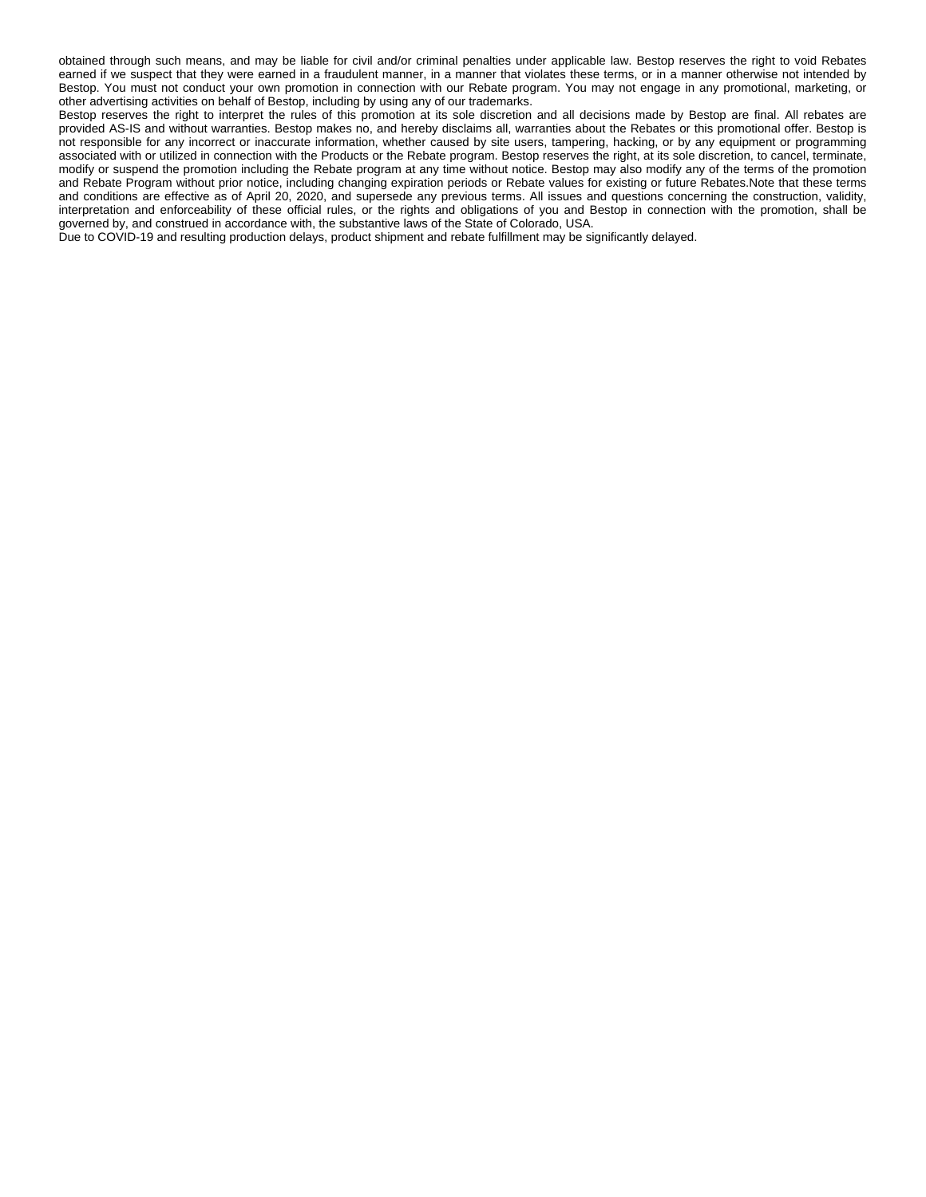obtained through such means, and may be liable for civil and/or criminal penalties under applicable law. Bestop reserves the right to void Rebates earned if we suspect that they were earned in a fraudulent manner, in a manner that violates these terms, or in a manner otherwise not intended by Bestop. You must not conduct your own promotion in connection with our Rebate program. You may not engage in any promotional, marketing, or other advertising activities on behalf of Bestop, including by using any of our trademarks.

Bestop reserves the right to interpret the rules of this promotion at its sole discretion and all decisions made by Bestop are final. All rebates are provided AS-IS and without warranties. Bestop makes no, and hereby disclaims all, warranties about the Rebates or this promotional offer. Bestop is not responsible for any incorrect or inaccurate information, whether caused by site users, tampering, hacking, or by any equipment or programming associated with or utilized in connection with the Products or the Rebate program. Bestop reserves the right, at its sole discretion, to cancel, terminate, modify or suspend the promotion including the Rebate program at any time without notice. Bestop may also modify any of the terms of the promotion and Rebate Program without prior notice, including changing expiration periods or Rebate values for existing or future Rebates.Note that these terms and conditions are effective as of April 20, 2020, and supersede any previous terms. All issues and questions concerning the construction, validity, interpretation and enforceability of these official rules, or the rights and obligations of you and Bestop in connection with the promotion, shall be governed by, and construed in accordance with, the substantive laws of the State of Colorado, USA.

Due to COVID-19 and resulting production delays, product shipment and rebate fulfillment may be significantly delayed.